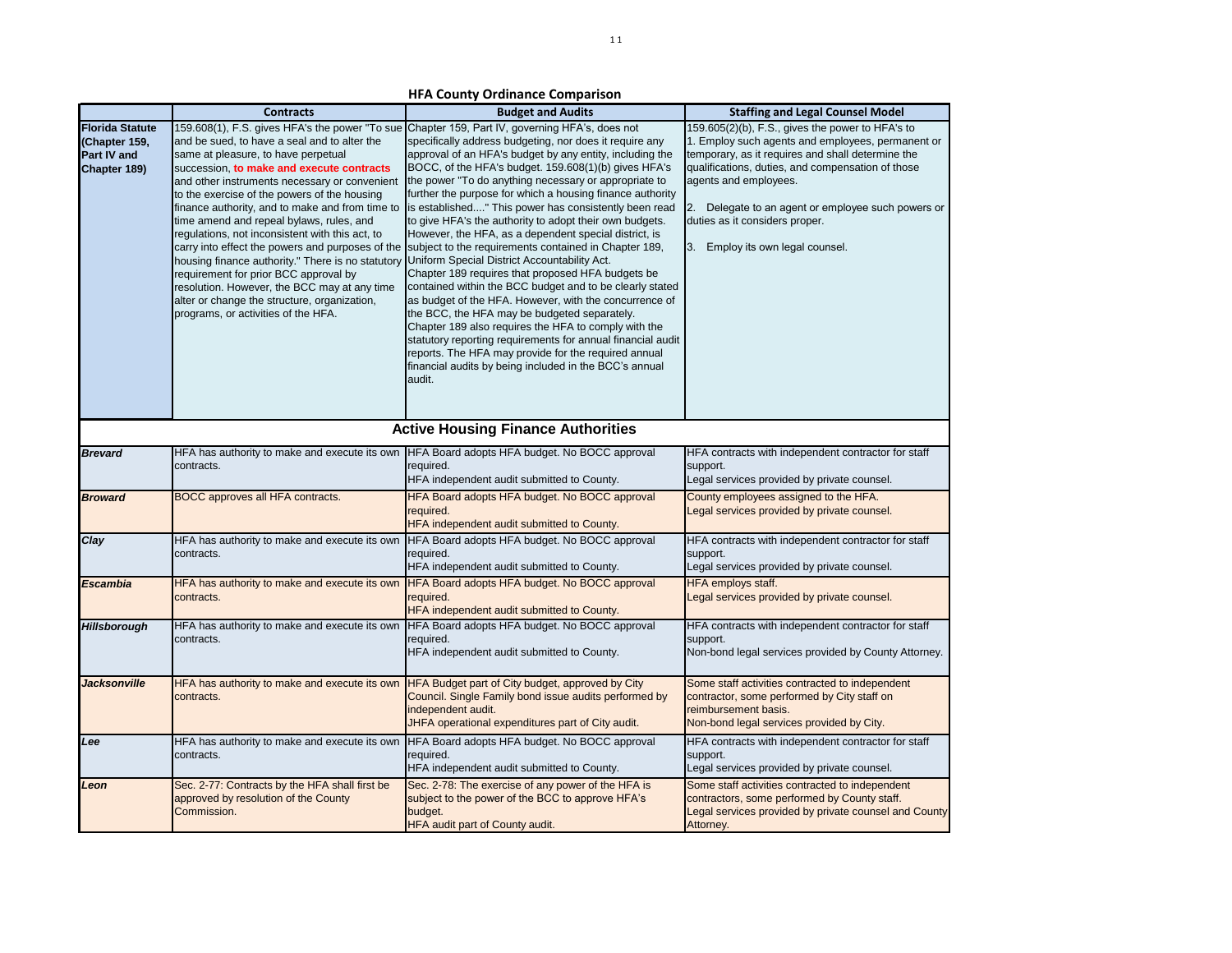|                                                                        | <b>Contracts</b>                                                                                                                                                                                                                                                                                                                                                                                                                                                                                                                                                                                                                                                           | <b>Budget and Audits</b>                                                                                                                                                                                                                                                                                                                                                                                                                                                                                                                                                                                                                                                                                                                                                                                                                                                                                                                                                                                                                                                                                                                                                  | <b>Staffing and Legal Counsel Model</b>                                                                                                                                                                                                                                                                                                                              |
|------------------------------------------------------------------------|----------------------------------------------------------------------------------------------------------------------------------------------------------------------------------------------------------------------------------------------------------------------------------------------------------------------------------------------------------------------------------------------------------------------------------------------------------------------------------------------------------------------------------------------------------------------------------------------------------------------------------------------------------------------------|---------------------------------------------------------------------------------------------------------------------------------------------------------------------------------------------------------------------------------------------------------------------------------------------------------------------------------------------------------------------------------------------------------------------------------------------------------------------------------------------------------------------------------------------------------------------------------------------------------------------------------------------------------------------------------------------------------------------------------------------------------------------------------------------------------------------------------------------------------------------------------------------------------------------------------------------------------------------------------------------------------------------------------------------------------------------------------------------------------------------------------------------------------------------------|----------------------------------------------------------------------------------------------------------------------------------------------------------------------------------------------------------------------------------------------------------------------------------------------------------------------------------------------------------------------|
| <b>Florida Statute</b><br>(Chapter 159,<br>Part IV and<br>Chapter 189) | 159.608(1), F.S. gives HFA's the power "To sue<br>and be sued, to have a seal and to alter the<br>same at pleasure, to have perpetual<br>succession, to make and execute contracts<br>and other instruments necessary or convenient<br>to the exercise of the powers of the housing<br>finance authority, and to make and from time to<br>time amend and repeal bylaws, rules, and<br>regulations, not inconsistent with this act, to<br>housing finance authority." There is no statutory<br>requirement for prior BCC approval by<br>resolution. However, the BCC may at any time<br>alter or change the structure, organization,<br>programs, or activities of the HFA. | Chapter 159, Part IV, governing HFA's, does not<br>specifically address budgeting, nor does it require any<br>approval of an HFA's budget by any entity, including the<br>BOCC, of the HFA's budget. 159.608(1)(b) gives HFA's<br>the power "To do anything necessary or appropriate to<br>further the purpose for which a housing finance authority<br>is established" This power has consistently been read<br>to give HFA's the authority to adopt their own budgets.<br>However, the HFA, as a dependent special district, is<br>carry into effect the powers and purposes of the subject to the requirements contained in Chapter 189,<br>Uniform Special District Accountability Act.<br>Chapter 189 requires that proposed HFA budgets be<br>contained within the BCC budget and to be clearly stated<br>as budget of the HFA. However, with the concurrence of<br>the BCC, the HFA may be budgeted separately.<br>Chapter 189 also requires the HFA to comply with the<br>statutory reporting requirements for annual financial audit<br>reports. The HFA may provide for the required annual<br>financial audits by being included in the BCC's annual<br>audit. | 159.605(2)(b), F.S., gives the power to HFA's to<br>1. Employ such agents and employees, permanent or<br>temporary, as it requires and shall determine the<br>qualifications, duties, and compensation of those<br>agents and employees.<br>2. Delegate to an agent or employee such powers or<br>duties as it considers proper.<br>3. Employ its own legal counsel. |
|                                                                        |                                                                                                                                                                                                                                                                                                                                                                                                                                                                                                                                                                                                                                                                            | <b>Active Housing Finance Authorities</b>                                                                                                                                                                                                                                                                                                                                                                                                                                                                                                                                                                                                                                                                                                                                                                                                                                                                                                                                                                                                                                                                                                                                 |                                                                                                                                                                                                                                                                                                                                                                      |
| <b>Brevard</b>                                                         | HFA has authority to make and execute its own<br>contracts.                                                                                                                                                                                                                                                                                                                                                                                                                                                                                                                                                                                                                | HFA Board adopts HFA budget. No BOCC approval<br>required.<br>HFA independent audit submitted to County.                                                                                                                                                                                                                                                                                                                                                                                                                                                                                                                                                                                                                                                                                                                                                                                                                                                                                                                                                                                                                                                                  | HFA contracts with independent contractor for staff<br>support.<br>Legal services provided by private counsel.                                                                                                                                                                                                                                                       |
| <b>Broward</b>                                                         | BOCC approves all HFA contracts.                                                                                                                                                                                                                                                                                                                                                                                                                                                                                                                                                                                                                                           | HFA Board adopts HFA budget. No BOCC approval<br>required.<br>HFA independent audit submitted to County.                                                                                                                                                                                                                                                                                                                                                                                                                                                                                                                                                                                                                                                                                                                                                                                                                                                                                                                                                                                                                                                                  | County employees assigned to the HFA.<br>Legal services provided by private counsel.                                                                                                                                                                                                                                                                                 |
| Clay                                                                   | HFA has authority to make and execute its own<br>contracts.                                                                                                                                                                                                                                                                                                                                                                                                                                                                                                                                                                                                                | HFA Board adopts HFA budget. No BOCC approval<br>required.<br>HFA independent audit submitted to County.                                                                                                                                                                                                                                                                                                                                                                                                                                                                                                                                                                                                                                                                                                                                                                                                                                                                                                                                                                                                                                                                  | HFA contracts with independent contractor for staff<br>support.<br>Legal services provided by private counsel.                                                                                                                                                                                                                                                       |
| <b>Escambia</b>                                                        | HFA has authority to make and execute its own<br>contracts.                                                                                                                                                                                                                                                                                                                                                                                                                                                                                                                                                                                                                | HFA Board adopts HFA budget. No BOCC approval<br>required.<br>HFA independent audit submitted to County.                                                                                                                                                                                                                                                                                                                                                                                                                                                                                                                                                                                                                                                                                                                                                                                                                                                                                                                                                                                                                                                                  | HFA employs staff.<br>Legal services provided by private counsel.                                                                                                                                                                                                                                                                                                    |
| <b>Hillsborough</b>                                                    | HFA has authority to make and execute its own<br>contracts.                                                                                                                                                                                                                                                                                                                                                                                                                                                                                                                                                                                                                | HFA Board adopts HFA budget. No BOCC approval<br>required.<br>HFA independent audit submitted to County.                                                                                                                                                                                                                                                                                                                                                                                                                                                                                                                                                                                                                                                                                                                                                                                                                                                                                                                                                                                                                                                                  | HFA contracts with independent contractor for staff<br>support.<br>Non-bond legal services provided by County Attorney.                                                                                                                                                                                                                                              |
| Jacksonville                                                           | HFA has authority to make and execute its own<br>contracts.                                                                                                                                                                                                                                                                                                                                                                                                                                                                                                                                                                                                                | HFA Budget part of City budget, approved by City<br>Council. Single Family bond issue audits performed by<br>independent audit.<br>JHFA operational expenditures part of City audit.                                                                                                                                                                                                                                                                                                                                                                                                                                                                                                                                                                                                                                                                                                                                                                                                                                                                                                                                                                                      | Some staff activities contracted to independent<br>contractor, some performed by City staff on<br>reimbursement basis.<br>Non-bond legal services provided by City.                                                                                                                                                                                                  |
| Lee                                                                    | HFA has authority to make and execute its own<br>contracts.                                                                                                                                                                                                                                                                                                                                                                                                                                                                                                                                                                                                                | HFA Board adopts HFA budget. No BOCC approval<br>required.<br>HFA independent audit submitted to County.                                                                                                                                                                                                                                                                                                                                                                                                                                                                                                                                                                                                                                                                                                                                                                                                                                                                                                                                                                                                                                                                  | HFA contracts with independent contractor for staff<br>support.<br>Legal services provided by private counsel.                                                                                                                                                                                                                                                       |
| Leon                                                                   | Sec. 2-77: Contracts by the HFA shall first be<br>approved by resolution of the County<br>Commission.                                                                                                                                                                                                                                                                                                                                                                                                                                                                                                                                                                      | Sec. 2-78: The exercise of any power of the HFA is<br>subject to the power of the BCC to approve HFA's<br>budget.<br><b>HFA audit part of County audit.</b>                                                                                                                                                                                                                                                                                                                                                                                                                                                                                                                                                                                                                                                                                                                                                                                                                                                                                                                                                                                                               | Some staff activities contracted to independent<br>contractors, some performed by County staff.<br>Legal services provided by private counsel and County<br>Attorney.                                                                                                                                                                                                |

**HFA County Ordinance Comparison**